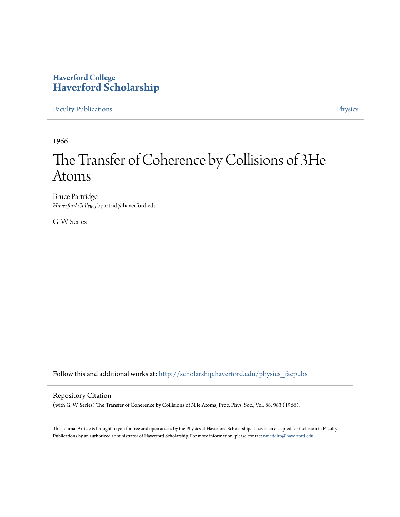# **Haverford College [Haverford Scholarship](http://scholarship.haverford.edu?utm_source=scholarship.haverford.edu%2Fphysics_facpubs%2F297&utm_medium=PDF&utm_campaign=PDFCoverPages)**

[Faculty Publications](http://scholarship.haverford.edu/physics_facpubs?utm_source=scholarship.haverford.edu%2Fphysics_facpubs%2F297&utm_medium=PDF&utm_campaign=PDFCoverPages) **[Physics](http://scholarship.haverford.edu/physics?utm_source=scholarship.haverford.edu%2Fphysics_facpubs%2F297&utm_medium=PDF&utm_campaign=PDFCoverPages)** 

1966

# The Transfer of Coherence by Collisions of 3He Atoms

Bruce Partridge *Haverford College*, bpartrid@haverford.edu

G. W. Series

Follow this and additional works at: [http://scholarship.haverford.edu/physics\\_facpubs](http://scholarship.haverford.edu/physics_facpubs?utm_source=scholarship.haverford.edu%2Fphysics_facpubs%2F297&utm_medium=PDF&utm_campaign=PDFCoverPages)

## Repository Citation

(with G. W. Series) The Transfer of Coherence by Collisions of 3He Atoms, Proc. Phys. Soc., Vol. 88, 983 (1966).

This Journal Article is brought to you for free and open access by the Physics at Haverford Scholarship. It has been accepted for inclusion in Faculty Publications by an authorized administrator of Haverford Scholarship. For more information, please contact [nmedeiro@haverford.edu](mailto:nmedeiro@haverford.edu).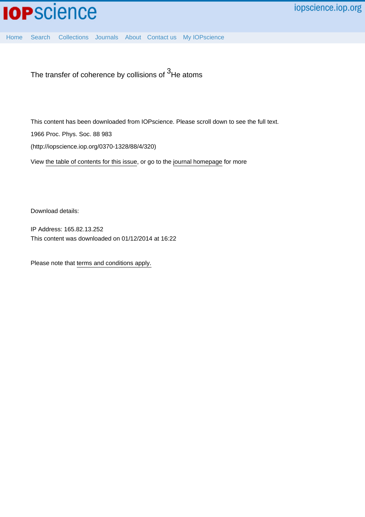

The transfer of coherence by collisions of  $3H$ e atoms

This content has been downloaded from IOPscience. Please scroll down to see the full text. 1966 Proc. Phys. Soc. 88 983 (http://iopscience.iop.org/0370-1328/88/4/320)

View [the table of contents for this issue](http://iopscience.iop.org/0370-1328/88/4), or go to the [journal homepage](http://iopscience.iop.org/0370-1328) for more

Download details:

IP Address: 165.82.13.252 This content was downloaded on 01/12/2014 at 16:22

Please note that [terms and conditions apply.](iopscience.iop.org/page/terms)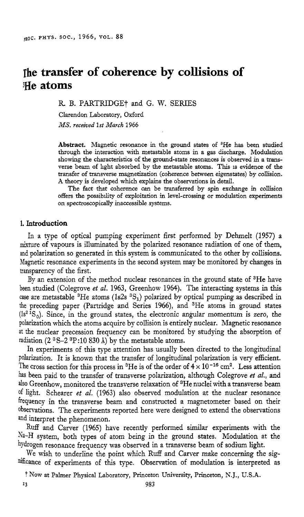# **The transfer of coherence by collisions of !He atoms**

R B. PARTRIDGE? and *G.* W. SERIES

Clarendon Laboratory, Oxford *MS. recezved 1st March* 1966

**Abstract.** Magnetic resonance in the ground states of 3He has been studied through the interaction with metastable atoms in a **gas** discharge. Modulation showing the characteristics of the ground-state resonances *is* observed in a **trans**verse beam of light absorbed by the metastable atoms. This is evidence of the transfer of transverse magnetization (coherence between eigenstates) by coilision. A theory is developed which explains the observations in detail.

The fact that coherence *can* be transferred by spin exchange in collision offers the possibllity of exploitation in level-crossing or modulation experiments on spectroscopically inaccessible systems.

#### 1. **Introduction**

In a type of optical pumping experiment first performed by Dehmelt (1957) a mixture of vapours is illuminated by the polarized resonance radiation of one of them, and polarization so generated in this system is communicated to the other by collisions. Magnetic resonance experiments in the second system may be monitored by changes in transparency of the first.

By an extension of the method nuclear resonances in the ground state of 3He have been studied (Colegrove *et al.* 1963, Greenhow 1964). The interacting systems in this case are metastable  ${}^{3}$ He atoms (1s2s  ${}^{3}S_{1}$ ) polarized by optical pumping as described in the preceding paper (Partridge and Series 1966), and 3He atoms in ground states  $(1s<sup>2</sup>1S<sub>0</sub>)$ . Since, in the ground states, the electronic angular momentum is zero, the polarization which the atoms acquire by collision is entirely nuclear. Magnetic resonance at the nuclear precession frequency can be monitored by studying the absorption of radiation **(2 3S-2** 3P:10 830 **A)** by the metastable atoms.

In experiments of this type attention has usually been directed to the longitudinal polarization. It is known that the transfer of longitudinal polarization is very efficient. The cross section for this process in <sup>3</sup>He is of the order of  $4 \times 10^{-16}$  cm<sup>2</sup>. Less attention has been paid to the transfer of transverse polarization, although Colegrove *et al.*, and also Greenhow, monitored the transverse relaxation of 3He nuclei with a transverse beam of light. Schearer *et al.* (1963) aIso observed modulation at the nuclear resonance frequency in the transverse beam and constructed a magnetometer based on their observations. The experiments reported here were designed to extend the observations and interpret the phenomenon.

Ruff and Carver (1965) have recently performed similar experiments with the  $N_{2}-H$  system, both types of atom being in the ground states. Modulation at the hydrogen resonance frequency was observed in a transverse beam of sodium light.

We wish to underline the point which Ruff and Carver make concerning the significance of experiments of this type. Observation of modulation is interpreted as

t Now at Palmer Physical Laboratory, Princeton University, Princeton, N.J., U.S.A.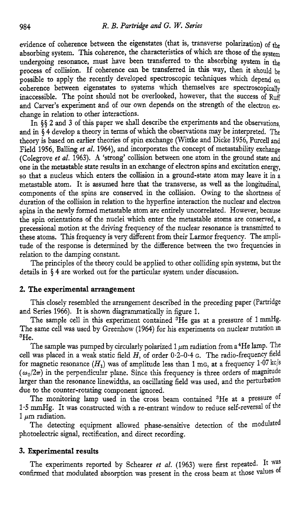evidence of coherence between the eigenstates (that is, transverse polarization) of the absorbing system. This coherence, the characteristics of which are those of the system undergoing resonance, must have been transferred to the absorbing system **in** the process of collision. If coherence can be transferred in this way, then it should be possible to apply the recently developed spectroscopic techniques which depend **on**  coherence between eigenstates to systems which themselves are spectroscopically inaccessible. The point should not be overlooked, however, that the success of Ruff and Carver's experiment and of our own depends on the strength of the electron  $ex$ change in relation to other interactions.

In *\$5* 2 and 3 of this paper we shall describe the experiments and the observations, and in \$4 develop a theory in terms of which the observations may be interpreted. The theory is based on earlier theories of spin exchange (Wittke and Dicke 1956, Purcell and Field 1956, Balling *et al.* 1964), and incorporates the concept of metastability exchange (Colegrove *et al.* 1963). *A* 'strong' collision between one atom in the ground state and one in the metastable state results in an exchange of electron spins and excitation energy, so that a nucleus which enters the collision in a ground-state atom may leave it in a metastable atom. It is assumed here that the transverse, as well as the longitudinal, components of the spins are conserved in the collision. Owing to the shortness of duration of the collision in relation to the hyperfine interaction the nuclear and electron spins in the newly formed metastable atom are entirely uncorrelated. However, because the spin orientations of the nuclei which enter the metastable atoms are conserved, a precessional motion at the driving frequency of the nuclear resonance is transmitted to these atoms. This frequency is very different from their Larmor frequency. The amplitude of the response is determined by the difference between the two frequencies in relation to the damping constant.

The principles of the theory could be applied to other colliding spin systems, but the details in \$4 are worked out for the particular system under discussion.

#### **2. The experimental arrangement**

This closely resembled the arrangement described in the preceding paper (Partridge and Series 1966). It is shown diagrammatically in figure 1.

The sample cell in this experiment contained  ${}^{3}$ He gas at a pressure of 1 mmHg. The same cell was used by Greenhow (1964) for his experiments on nuclear nutation in 3He.

The sample was pumped by circularly polarized 1  $\mu$ m radiation from a <sup>4</sup>He lamp. The cell was placed in a weak static field *H,* of order 0.2-0.4 G. The radio-frequency field for magnetic resonance  $(H_1)$  was of amplitude less than 1 mg, at a frequency 1.07 kc/s  $(\omega_0/2\pi)$  in the perpendicular plane. Since this frequency is three orders of magnitude larger than the resonance linewidths, an oscillating field was used, and the perturbation due to the counter-rotating component ignored.

The monitoring lamp used in the cross beam contained <sup>3</sup>He at a pressure of 1.5 mmHg. It was constructed with a re-entrant window to reduce self-reversal of the 1 **pm** radiation.

The detecting equipment allowed phase-sensitive detection of the modulated photoelectric signal, rectification, and direct recording.

### **3. Experimental results**

The experiments reported by Schearer *et al.* (1963) were first repeated. It **was**  confirmed that modulated absorption was present in the cross beam at those values of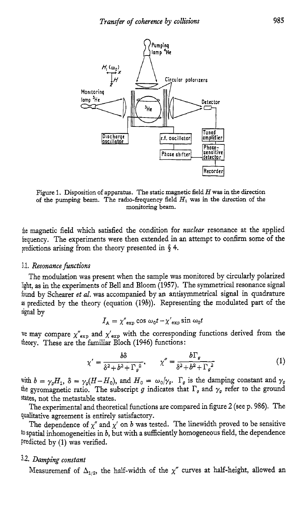

Figure 1. Disposition of apparatus. The static magnetic field *H* **was** in the direction of the pumping beam. The rado-frequency field *HI* was in the drection of the monitoring beam.

the magnetic field which satisfied the condition for *nuclear* resonance at the applied frequency. The experiments were then extended in an attempt to confirm some of the predictions arising from the theory presented in **4.** 

#### 3.1. *Resonance functions*

The modulation was present when the sample was monitored by circularly polarized light, as in the experiments of Bell and Bloom *(1957).* The symmetrical resonance signal found by Schearer *et al.* was accompanied by an antisymmetrical signal in quadrature **as** predicted by the theory (equation *(19b)).* Representing the modulated part of the signal by

$$
I_{\rm A} = \chi''_{\rm exp} \cos \omega_0 t - \chi'_{\rm exp} \sin \omega_0 t
$$

we may compare  $\chi''_{\text{exp}}$  and  $\chi'_{\text{exp}}$  with the corresponding functions derived from the theory. These are the familiar Bloch *(1946)* functions:

$$
\chi' = \frac{b\delta}{\delta^2 + b^2 + \Gamma_a^2}, \qquad \chi'' = \frac{b\Gamma_g}{\delta^2 + b^2 + \Gamma_g^2} \tag{1}
$$

with  $b = \gamma_g H_1$ ,  $\delta = \gamma_g (H - H_0)$ , and  $H_0 = \omega_0 / \gamma_g$ .  $\Gamma_g$  is the damping constant and  $\gamma_g$ the gyromagnetic ratio. The subscript g indicates that  $\Gamma_g$  and  $\gamma_g$  refer to the ground states, not the metastable states.

The experimental and theoretical functions are compared in figure **2** (see p. 986). The qualitative agreement is entirely satisfactory.

The dependence of  $\chi''$  and  $\chi'$  on *b* was tested. The linewidth proved to be sensitive to spatial inhomogeneities in *b,* but with a sufficiently homogeneous field, the dependence Predicted by (1) was verified.

#### **3.2.** *Damping constant*

Measuremenf of  $\Delta_{1/2}$ , the half-width of the  $\chi''$  curves at half-height, allowed an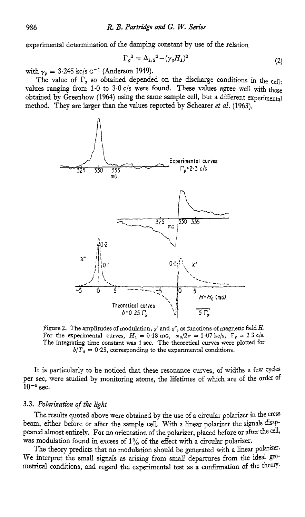experimental determination of the damping constant by use of the relation

$$
\Gamma_g^2 = \Delta_{1/2}^2 - (\gamma_g H_1)^2 \tag{2}
$$

with  $\gamma_g = 3.245$  kc/s G<sup>-1</sup> (Anderson 1949).

The value of  $\Gamma_q$  so obtained depended on the discharge conditions in the cell: values ranging from  $1.0$  to  $3.0$  c/s were found. These values agree well with those obtained by Greenhow (1964) using the same sample cell, but a different experimental method. They are larger than the values reported by Schearer *et al.* (1963).



Figure 2. The amplitudes of modulation,  $\chi'$  and  $\chi''$ , as functions of magnetic field *H*. For the experimental curves,  $H_1 = 0.18$  mG,  $\omega_0/2\pi = 1.07$  kc/s,  $\Gamma_g = 2.3$  c/s. The integrating time constant **was** 1 sec. The theoretical curves were plotted for  $b/\Gamma_g = 0.25$ , corresponding to the experimental conditions.

It is particularly to be noticed that these resonance curves, of widths a few cycles per sec, were studied by monitoring atoms, the lifetimes of which are of the order of  $10^{-4}$  sec.

#### 3.3. *Polarization of the light*

The results quoted above were obtained by the use of a circular polarizer in the cross beam, either before or after the sample cell. With a linear polarizer the signals disappeared almost entirely. For no orientation of the polarizer, placed before or after the cell, was modulation found in excess of  $1\%$  of the effect with a circular polarizer.

The theory predicts that no modulation should be generated with a linear polarizer. We interpret the small signals as arising from small departures from the ideal geometrical conditions, and regard the experimental test as a confinnation of the theory.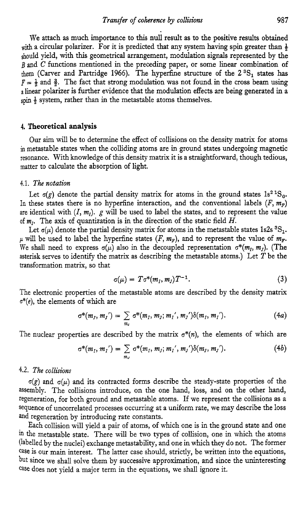We attach as much importance to this null result as to the positive results obtained with a circular polarizer. For it is predicted that any system having spin greater than  $\frac{1}{2}$ should yield, with this geometrical arrangement, modulation signals represented by the *<sup>B</sup>*and **C** functions mentioned in the preceding paper, or some linear combination of them (Carver and Partridge 1966). The hyperfine structure of the **23S,** states **has**   $F = \frac{1}{2}$  and  $\frac{3}{2}$ . The fact that strong modulation was not found in the cross beam using a linear polarizer is further evidence that the modulation effects are being generated in a **spin** & system, rather than in the metastable atoms themselves.

#### **4. Theoretical analysis**

**Our** aim will be to determine the effect of collisions on the density matrix for atoms in metastable states when the colliding atoms are in ground states undergoing magnetic resonance. With knowledge of this density matrix it is a straightforward, though tedious, matter to calculate the absorption of light.

#### *4.1. The notation*

Let  $\sigma$ (g) denote the partial density matrix for atoms in the ground states  $1s^2$ <sup>1</sup>S<sub>0</sub>. In these states there is no hyperfine interaction, and the conventional labels  $(F, m_F)$ are identical with  $(I, m<sub>i</sub>)$ .  $g$  will be used to label the states, and to represent the value of *m,.* The axis of quantization is in the direction of the static field *H.* 

Let  $\sigma(\mu)$  denote the partial density matrix for atoms in the metastable states 1s2s <sup>3</sup>S<sub>1</sub>.  $\mu$  will be used to label the hyperfine states  $(F, m_F)$ , and to represent the value of  $m_F$ . We shall need to express  $\sigma(\mu)$  also in the decoupled representation  $\sigma^*(m_1, m_1)$ . (The asterisk serves to identify the matrix as describing the metastable atoms.) Let  $T$  be the transformation matrix, so that

$$
\sigma(\mu) = T\sigma^*(m_I, m_J)T^{-1}.
$$
\n(3)

The electronic properties of the metastable atoms are described by the density matrix **o\*(e),** the elements of which are

$$
\sigma^*(m_I, m_I') = \sum_{m_I} \sigma^*(m_I, m_I; m_I', m_I') \delta(m_I, m_I'). \qquad (4a)
$$

The nuclear properties are described by the matrix  $\sigma^*(n)$ , the elements of which are

$$
\sigma^*(m_I, m_I') = \sum_{m_J} \sigma^*(m_I, m_J; m_I', m_J') \delta(m_J, m_J'). \qquad (4b)
$$

#### **4.2.** *The collisions*

 $\sigma(g)$  and  $\sigma(\mu)$  and its contracted forms describe the steady-state properties of the assembly. The collisions introduce, on the one hand, loss, and on the other hand, regeneration, for both ground and metastable atoms. If we represent the collisions as a sequence of uncorrelated processes occurring at a uniform rate, we may describe the loss and regeneration by introducing rate constants.

Each collision will yield a pair of atoms, of which one is in the ground state and one in the metastable state. There will be two types of collision, one in which the atoms (labelled by the nuclei) exchange metastability, and one in which they do not. The former case is our main interest. The latter case should, strictly, be written into the equations, but since we shall solve them by successive approximation, and since the uninteresting case does not yield a major term in the equations, we shall ignore it.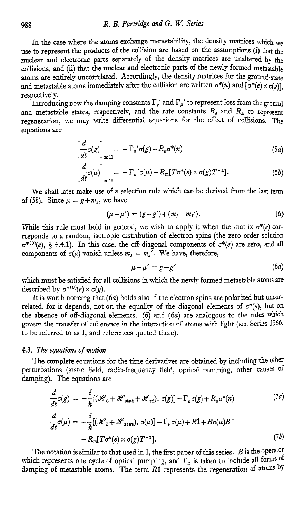In the case where the atoms exchange metastability, the density matrices which we **use** to represent the products of the collision are based on the assumptions (i) that the nuclear and electronic parts separately of the density matrices are unaltered by the collisions, and (ii) that the nuclear and electronic parts of the newly formed metastable atoms are entirely uncorrelated. Accordingly, the density matrices for the ground-state and metastable atoms immediately after the collision are written  $\sigma^*(n)$  and  $\sigma^*(e) \times \sigma(e)$ . respectively.

Introducing now the damping constants  $\Gamma_g'$  and  $\Gamma_\mu'$  to represent loss from the ground and metastable states, respectively, and the rate constants  $R_q$  and  $R_m$  to represent regeneration, we may write differential equations for the effect of coliisions. The equations are

$$
\left[\frac{d}{dt}\sigma(g)\right]_{\text{coll}} = -\Gamma_g'\sigma(g) + R_g\sigma^*(n) \tag{5a}
$$

$$
\left[\frac{d}{dt}\sigma(\mu)\right]_{\text{coll}} = -\Gamma_{\mu}\prime\sigma(\mu) + R_m[T\sigma^*(e) \times \sigma(g)T^{-1}].\tag{5b}
$$

We shall later make use of a selection rule which can be derived from the last term of (5*b*). Since  $\mu = g + m_I$ , we have

$$
(\mu - \mu') = (g - g') + (m_J - m_J'). \tag{6}
$$

While this rule must hold in general, we wish to apply it when the matrix  $\sigma^*(e)$  corresponds to a random, isotropic distribution of electron spins (the zero-order solution  $\sigma^{*(0)}(e)$ , § 4.4.1). In this case, the off-diagonal components of  $\sigma^*(e)$  are zero, and all components of  $\sigma(\mu)$  vanish unless  $m_t = m_t'$ . We have, therefore,

$$
\mu - \mu' = g - g' \tag{6a}
$$

which must be satisfied for all collisions in which the newly formed metastable atoms are described by  $\sigma^{*(0)}(e) \times \sigma(g)$ .

It is **worth** noticing that *(64* holds also if the electron spins are polarized but uncorrelated, for it depends, not on the equality of the diagonal elements of  $\sigma^*(e)$ , but on the absence of off-diagonal elements.  $(6)$  and  $(6a)$  are analogous to the rules which govern the transfer of coherence in the interaction of atoms with light (see Series 1365, to be referred to as I, and references quoted there).

#### *4.3. The equations of motion*

The complete equations for the time derivatives are obtained by including the othe: perturbations (static field, radio-frequency field, optical pumping, other causes of damping). The equations are

$$
\frac{d}{dt}\sigma(g) = -\frac{i}{\hbar}[(\mathcal{H}_0 + \mathcal{H}_{\text{stat}} + \mathcal{H}_{\text{rf}}), \sigma(g)] - \Gamma_g \sigma(g) + R_g \sigma^*(n) \tag{7a}
$$
\n
$$
\frac{d}{dt}\sigma(\mu) = -\frac{i}{\hbar}[(\mathcal{H}_0 + \mathcal{H}_{\text{stat}}), \sigma(\mu)] - \Gamma_\mu \sigma(\mu) + R\mathbf{1} + B\sigma(\mu)B^+ + R_m[T\sigma^*(e) \times \sigma(g)T^{-1}]. \tag{7b}
$$

The notation is similar to that used in I, the first paper of this series. *B* is the operator which represents one cycle of optical pumping, and  $\hat{\Gamma}_{\mu}$  is taken to include all forms of damping of metastable atoms. The term *R1* represents the regeneration of atoms by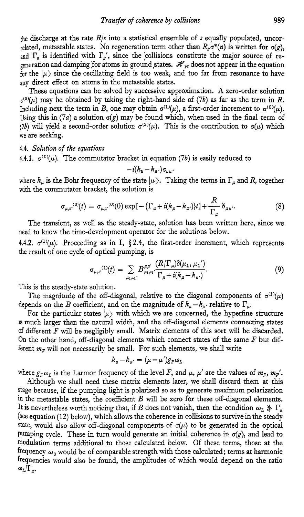be discharge at the rate *R/s* into a statistical ensemble of s equally populated, uncorrelated, metastable states. No regeneration term other than  $R_{\sigma}\sigma^*(n)$  is written for  $\sigma(g)$ , and  $\Gamma_a$  is identified with  $\Gamma_a$ , since the collisions constitute the major source of regeneration and damping for atoms in ground states.  $\mathcal{H}_{{\bm r}{\bm f}}$  does not appear in the equation for the  $|\mu\rangle$  since the oscillating field is too weak, and too far from resonance to have any direct effect on atoms in the metastable states.

These equations can be solved by successive approximation. **A** zero-order solution  $\sigma^{(0)}(\mu)$  may be obtained by taking the right-hand side of (7b) as far as the term in *R*. Including next the term in *B*, one may obtain  $\sigma^{(1)}(\mu)$ , a first-order increment to  $\sigma^{(0)}(\mu)$ . Using this in  $(7a)$  a solution  $\sigma(g)$  may be found which, when used in the final term of (7b) will yield a second-order solution  $\sigma^{(2)}(\mu)$ . This is the contribution to  $\sigma(\mu)$  which we are seeking.

**4.4.** *Solution of the equations* 

**4.4.1.**  $\sigma^{(0)}(\mu)$ . The commutator bracket in equation (7*b*) is easily reduced to  $-i(k_{\mu} - k_{\mu'})\sigma_{\mu\mu}$ .

$$
-i(k_{\mu}-k_{\mu})\sigma_{\mu\mu}.
$$

where  $k_{\mu}$  is the Bohr frequency of the state  $|\mu\rangle$ . Taking the terms in  $\Gamma_{\mu}$  and *R*, together with the commutator bracket, the solution is

$$
\sigma_{\mu\mu'}^{(0)}(t) = \sigma_{\mu\mu'}^{(0)}(0) \exp[-\{\Gamma_{\mu} + i(k_{\mu} - k_{\mu'})\}t] + \frac{R}{\Gamma_{\mu}} \delta_{\mu\mu'}.
$$
 (8)

The transient, as well as the steady-state, solution has been written here, since we need to **know** the time-development operator for the solutions below.

4.4.2.  $\sigma^{(1)}(\mu)$ . Proceeding as in I, § 2.4, the first-order increment, which represents the result of one cycle of optical pumping, is

$$
\sigma_{\mu\mu'}^{(1)}(t) = \sum_{\mu_1\mu_1'} B^{\mu\mu'}_{\mu_1\mu_1'} \frac{(R/\Gamma_\mu)\delta(\mu_1,\mu_1')}{\Gamma_\mu + i(k_\mu - k_{\mu'})}.
$$
(9)

This is the steady-state solution.

The magnitude of the off-diagonal, relative to the diagonal components of  $\sigma^{(1)}(\mu)$ depends on the *B* coefficient, and on the magnitude of  $k_{\mu}-k_{\mu}$ , relative to  $\Gamma_{\mu}$ .

For the particular states  $|\mu\rangle$  with which we are concerned, the hyperfine structure is much larger than the natural width, and the off-diagonal elements connecting states of different *F* will be negligibly small. Matrix elements of this sort will be discarded. On the other hand, off-diagonal elements which connect states of the same *F* but different  $m_F$  will not necessarily be small. For such elements, we shall write

$$
k_{\mu}-k_{\mu'}=(\mu-\mu')g_F\omega_L
$$

where  $g_F\omega_L$  is the Larmor frequency of the level *F*, and  $\mu$ ,  $\mu'$  are the values of  $m_F$ ,  $m_F'$ .

Although we shall need these matrix elements later, we shall discard them at this stage because, if the pumping light is polarized so as to generate maximum polarization in the metastable states, the coefficient *B* will be zero for these off-diagonal elements. It is nevertheless worth noticing that, if *B* does not vanish, then the condition  $\omega_L \gg \Gamma_\mu$ (see equation **(12)** below), which allows the coherence in collisions to survive in the steady state, would also allow off-diagonal components of  $\sigma(\mu)$  to be generated in the optical pumping cycle. These in turn would generate an initial coherence in  $\sigma(g)$ , and lead to modulation terms additional to those calculated below. Of these terms, those at the frequency  $\omega_0$  would be of comparable strength with those calculated; terms at harmonic frequencies would also be found, the amplitudes of which would depend on the ratio  $\omega_L/\Gamma_{\mu}$ .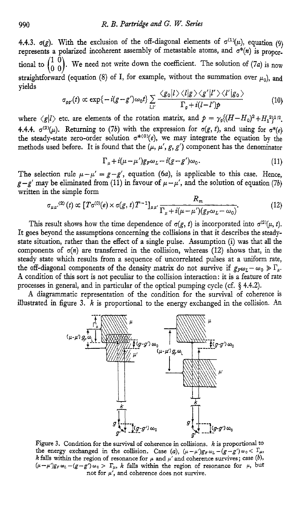**4.4.3.**  $\sigma(g)$ . With the exclusion of the off-diagonal elements of  $\sigma^{(1)}(\mu)$ , equation *(9)* represents a pohrized incoherent assembly of metastable atoms, and *o\*(n)* is proportional to  $\begin{pmatrix} 1 & 0 \\ 0 & 0 \end{pmatrix}$ . We need not write down the coefficient. The solution of (7*a*) is now straightforward (equation (8) of I, for example, without the summation over  $\mu_0$ ), and vields

$$
\sigma_{gg'}(t) \propto \exp\{-i(g-g')\omega_0 t\} \sum_{l,l'} \frac{\langle g_0|l\rangle \langle l|g\rangle \langle g'|l'\rangle \langle l'|g_0\rangle}{\Gamma_g + i(l-l')p}
$$
(10)

where  $\langle g | l \rangle$  etc. are elements of the rotation matrix, and  $p = \gamma_o \langle (H - H_o)^2 + H_1^2 \rangle^{1/2}$ . **4.4.4.**  $\sigma^{(2)}(\mu)$ . Returning to (7b) with the expression for  $\sigma(g, t)$ , and using for  $\sigma^*(e)$ the steady-state zero-order solution  $\sigma^{*(0)}(e)$ , we may integrate the equation by the methods used before. It is found that the  $(\mu, \mu', g, g')$  component has the denominator

$$
\Gamma_{\mu} + i(\mu - \mu')g_F \omega_L - i(g - g')\omega_0. \tag{11}
$$

The selection rule  $\mu - \mu' = g - g'$ , equation (6*a*), is applicable to this case. Hence,  $g-g'$  may be eliminated from (11) in favour of  $\mu-\mu'$ , and the solution of equation *(7b)* 

written in the simple form  
\n
$$
\sigma_{\mu\mu'}^{(2)}(t) \propto [T\sigma^{(0)}(e) \times \sigma(g, t)T^{-1}]_{\mu\mu'} \frac{R_m}{\Gamma_{\mu} + i(\mu - \mu')(g_F\omega_L - \omega_0)}.
$$
\n(12)

This result shows how the time dependence of  $\sigma(g, t)$  is incorporated into  $\sigma^{(2)}(\mu, t)$ . It goes beyond the assumptions concerning the collisions in that it describes the steadystate situation, rather than the effect of a single pulse. Assumption (i) was that all the components of  $\sigma(n)$  are transferred in the collision, whereas (12) shows that, in the steady state which results from a sequence of uncorrelated pulses at a uniform rate, the off-diagonal components of the density matrix do not survive if  $g_F\omega_L - \omega_0 \ge \Gamma_\mu$ . **A** condition of this sort is not peculiar to the collision interaction: it is a feature of rate processes in general, and in particular of the optical pumping cycle (cf. **4 4.4.2).** 

**A** diagrammatic representation of the condition for the survival of coherence is illustrated in figure **3.** *k* is proportional to the energy exchanged in the collision. An



Figure 3. Condition for the survival of coherence in collisions. *k* is proportional to the energy exchanged in the collision. Case (a),  $(\mu - \mu')g_F \omega_L - (g - g')\omega_0 < \Gamma_\mu$ , *k* falls within the region of resonance for  $\mu$  and  $\mu'$  and coherence survives; case (b),  $(\mu-\mu')g_F\omega_L-(g-g')\omega_0$  >  $\Gamma_\mu$ , *k* falls within the region of resonance for  $\mu$ , but not for *p',* and coherence does not survive.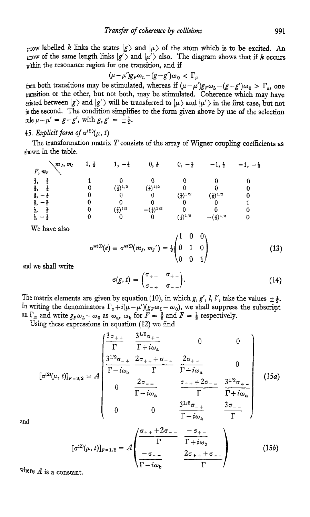arrow labelled *k* links the states  $|g\rangle$  and  $|\mu\rangle$  of the atom which is to be excited. An arrow of the same length links  $|g'\rangle$  and  $|\mu'\rangle$  also. The diagram shows that if *k* occurs within the resonance region for one transition, and if

$$
(\mu - \mu')g_F \omega_L - (g - g')\omega_0 < \Gamma_\mu
$$

then both transitions may be stimulated, whereas if  $(\mu - \mu')g_F \omega_L - (g - g')\omega_0 > \Gamma_{\mu}$ , one tansition or the other, but not both, may be stimulated. Coherence which may have existed between  $|g\rangle$  and  $|g'\rangle$  will be transferred to  $|\mu\rangle$  and  $|\mu'\rangle$  in the first case, but not in the second. The condition simplifies to the form given above by use of the selection rule  $\mu - \mu' = g - g'$ , with  $g, g' = \pm \frac{1}{2}$ .

## **4.5.** *Explicit form of*  $\sigma^{(2)}(\mu, t)$

shown in the table. The transformation matrix T consists of the array of Wigner coupling coefficients **as** 

| $\mathcal{M}_I$ , $m_I$ | Ť | T                     | 0, ∯                   |                       | $-1, t$                | 一言 |
|-------------------------|---|-----------------------|------------------------|-----------------------|------------------------|----|
| $F, m_F$                |   |                       |                        |                       |                        |    |
|                         |   |                       |                        |                       |                        |    |
| å,<br>贲                 |   | $(\frac{1}{3})^{1/2}$ | $\frac{2}{3}$ ) $1/2$  |                       |                        |    |
|                         |   |                       |                        | $(2)^{1/2}$           | $(\frac{1}{3})^{1/2}$  |    |
|                         |   |                       |                        |                       |                        |    |
|                         |   | $(\frac{2}{3})^{1/2}$ | $-(\frac{1}{3})^{1/2}$ |                       |                        |    |
| ż,<br>- 2               |   |                       |                        | $(\frac{1}{3})^{1/2}$ | $-(\frac{2}{3})^{1/2}$ |    |

We have also

$$
\sigma^{*(0)}(e) \equiv \sigma^{*(0)}(m_J, m_J') = \frac{1}{3} \begin{pmatrix} 1 & 0 & 0 \\ 0 & 1 & 0 \\ 0 & 0 & 1 \end{pmatrix}
$$
 (13)

**and** we shall write

$$
\sigma(g,t) = \begin{pmatrix} \sigma_{++} & \sigma_{+-} \\ \sigma_{-+} & \sigma_{--} \end{pmatrix}.
$$
 (14)

The matrix elements are given by equation (10), in which  $g, g', l, l'$ , take the values  $\pm \frac{1}{2}$ . In writing the denominators  $\Gamma_{\mu}+i(\mu-\mu')(g_F\omega_L-\omega_0)$ , we shall suppress the subscript on  $\Gamma_{\mu}$ , and write  $g_F\omega_L-\omega_0$  as  $\omega_a$ ,  $\omega_b$  for  $F=\frac{3}{2}$  and  $F=\frac{1}{2}$  respectively. on by equation (10), in where  $\Gamma_{\mu} + i(\mu - \mu') (g_F \omega_L - \omega_0)$ <br>
s  $\omega_a$ ,  $\omega_b$  for  $F = \frac{3}{2}$  and n equation (12) we find<br>  $\frac{3\sigma_{++}}{\Gamma}$   $\frac{3^{1/2}\sigma_{+-}}{\Gamma + i\omega_a}$ 

Using these expressions in equation (12) we find

$$
\begin{bmatrix}\n\sigma^{(2)}(\mu, t) \rbrack_{F=3/2} = A\n\end{bmatrix}\n\begin{bmatrix}\n\frac{3\sigma_{++}}{\Gamma} & \frac{3^{1/2}\sigma_{+-}}{\Gamma + i\omega_a} & 0 & 0 \\
\frac{3^{1/2}\sigma_{-+}}{\Gamma - i\omega_a} & \frac{2\sigma_{++} - 2\sigma_{+-}}{\Gamma + i\omega_a} & 0 \\
0 & \frac{2\sigma_{-+}}{\Gamma - i\omega_a} & \frac{\sigma_{++} + 2\sigma_{--}}{\Gamma} & \frac{3^{1/2}\sigma_{+-}}{\Gamma + i\omega_a} \\
0 & 0 & \frac{3^{1/2}\sigma_{-+}}{\Gamma - i\omega_a} & \frac{3\sigma_{--}}{\Gamma}\n\end{bmatrix}
$$
\n(15*a*)

**and** 

$$
[\sigma^{(2)}(\mu, t)]_{F=1/2} = A \left( \begin{array}{ccc} \sigma_{++} + 2\sigma_{--} & -\sigma_{+-} \\ \Gamma & \Gamma + i\omega_b \\ \hline \sigma_{--} & 2\sigma_{++} + \sigma_{--} \\ \hline \Gamma - i\omega_b & \Gamma \end{array} \right) \tag{15b}
$$

where  $A$  is a constant.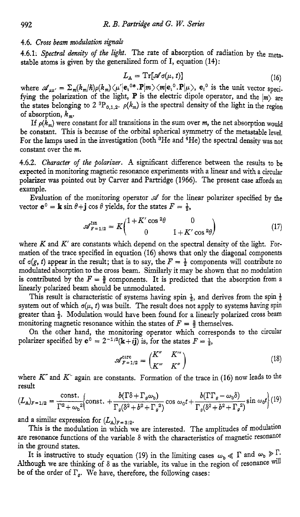#### 4.6. *Cross beam modulation signals*

4.6.1: Spectral density of the light. The rate of absorption of radiation by the metastable atoms is given by the generalized form of I, equation (14):

$$
L_{\rm A} = {\rm Tr}[\mathscr{A}\sigma(\mu, t)] \tag{16}
$$

where  $\mathscr{A}_{\mu\mu'} = \sum_{m}(k_m/\hbar)\rho(k_m)\langle\mu'|e_i^{0*}\cdot\mathbf{P}|m\rangle\langle m|e_i^{0}\cdot\mathbf{P}|\mu\rangle$ ,  $e_i^{0}$  is the unit vector specifying the polarization of the light, **P** is the electric dipole operator, and the  $|m\rangle$  are the states belonging to 2<sup>3</sup>P<sub>0,1,2</sub>.  $\rho(k_m)$  is the spectral density of the light in the region of absorption,  $k_m$ .

If  $\rho(\bar{k}_m)$  were constant for all transitions in the sum over *m*, the net absorption would be constant. This is because of the orbital spherical symmetry of the metastable level. For the lamps used in the investigation (both  ${}^{3}$ He and  ${}^{4}$ He) the spectral density was not constant over the *m.* 

4.6.2. *Character of the polarizer.* **A** significant difference between the results to be expected in monitoring magnetic resonance experiments with a linear and with a circular polarizer **was** pointed out by Carver and Partridge (1966). The present case affords **an**  example.

Evaluation of the monitoring operator  $\mathscr A$  for the linear polarizer specified by the vector  $e^0 = \mathbf{k} \sin \theta + \mathbf{j} \cos \theta$  yields, for the states  $F = \frac{1}{2}$ ,

$$
\mathscr{A}_{F=1/2}^{\mathrm{lin}} = K \begin{pmatrix} 1 + K' \cos^2 \theta & 0 \\ 0 & 1 + K' \cos^2 \theta \end{pmatrix} \tag{17}
$$

where  $K$  and  $K'$  are constants which depend on the spectral density of the light. Formation of the trace specified in equation (16) shows that only the diagonal components of  $\sigma(g, t)$  appear in the result; that is to say, the  $F = \frac{1}{2}$  components will contribute no modulated absorption to the cross beam. Similarly it may be shown that no modulation is contributed by the  $F = \frac{3}{2}$  components. It is predicted that the absorption from a linearly polarized beam should be unmodulated.

This result is characteristic of systems having spin  $\frac{1}{2}$ , and derives from the spin  $\frac{1}{2}$ system out of which  $\sigma(\mu, t)$  was built. The result does not apply to systems having spin greater than  $\frac{1}{2}$ . Modulation would have been found for a linearly polarized cross beam monitoring magnetic resonance within the states of  $F = \frac{3}{2}$  themselves.

**On** the other hand, the monitoring operator which corresponds to the circular polarizer specified by  $e^0 = 2^{-1/2}(\mathbf{k} + i\mathbf{j})$  is, for the states  $F = \frac{1}{2}$ ,

$$
\mathscr{A}_{F=1/2}^{\text{circ}} = \begin{pmatrix} K'' & K''' \\ K'' & K'' \end{pmatrix} \tag{18}
$$

where  $K^r$  and  $K^r$  again are constants. Formation of the trace in (16) now leads to the result

$$
(L_{\mathbf{A}})_{F=1/2} = \frac{\text{const.}}{\Gamma^2 + {\omega_b}^2} \Big( \text{const.} + \frac{b(\Gamma \delta + \Gamma_g {\omega_b})}{\Gamma_g (\delta^2 + b^2 + \Gamma_g{}^2)} \cos {\omega_0} t + \frac{b(\Gamma \Gamma_g - {\omega_b} \delta)}{\Gamma_g (\delta^2 + b^2 + \Gamma_g{}^2)} \sin {\omega_0} t \Big) (19)
$$

and a similar expression for  $(L_A)_{F=3/2}$ .

This is the modulation in which we are interested. The amplitudes of modulation are resonance functions of the variable  $\delta$  with the characteristics of magnetic resonance in the ground states.

It is instructive to study equation (19) in the limiting cases  $\omega_{\rm b} \ll \Gamma$  and  $\omega_{\rm b} \gg \Gamma$ . Although we are thinking of  $\delta$  as the variable, its value in the region of resonance will be of the order of  $\Gamma_g$ . We have, therefore, the following cases: